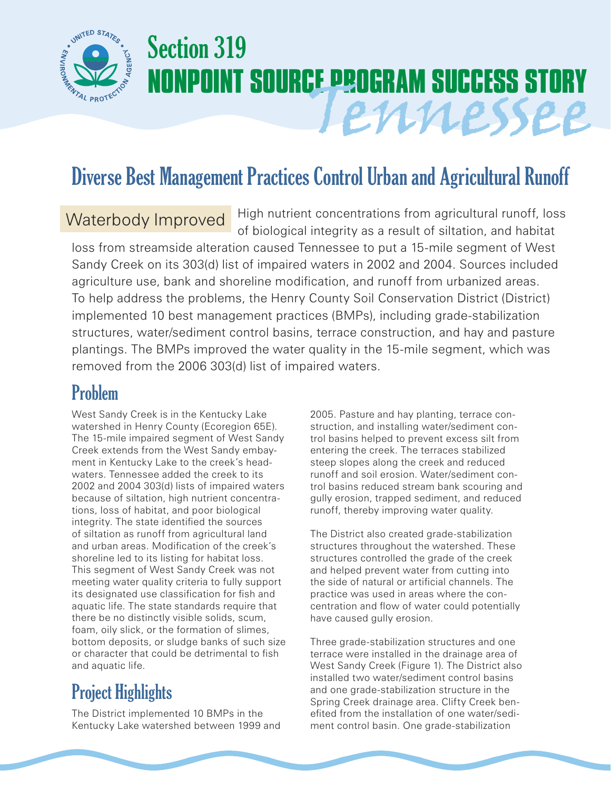

# Section 319 **NONPOINT SOURCE PROGRAM SUCCESS STORY** Tennessee

## Diverse Best Management Practices Control Urban and Agricultural Runoff

### Waterbody Improved

High nutrient concentrations from agricultural runoff, loss of biological integrity as a result of siltation, and habitat

loss from streamside alteration caused Tennessee to put a 15-mile segment of West Sandy Creek on its 303(d) list of impaired waters in 2002 and 2004. Sources included agriculture use, bank and shoreline modification, and runoff from urbanized areas. To help address the problems, the Henry County Soil Conservation District (District) implemented 10 best management practices (BMPs), including grade-stabilization structures, water/sediment control basins, terrace construction, and hay and pasture plantings. The BMPs improved the water quality in the 15-mile segment, which was removed from the 2006 303(d) list of impaired waters.

### Problem

West Sandy Creek is in the Kentucky Lake watershed in Henry County (Ecoregion 65E). The 15-mile impaired segment of West Sandy Creek extends from the West Sandy embayment in Kentucky Lake to the creek's headwaters. Tennessee added the creek to its 2002 and 2004 303(d) lists of impaired waters because of siltation, high nutrient concentrations, loss of habitat, and poor biological integrity. The state identified the sources of siltation as runoff from agricultural land and urban areas. Modification of the creek's shoreline led to its listing for habitat loss. This segment of West Sandy Creek was not meeting water quality criteria to fully support its designated use classification for fish and aquatic life. The state standards require that there be no distinctly visible solids, scum, foam, oily slick, or the formation of slimes, bottom deposits, or sludge banks of such size or character that could be detrimental to fish and aquatic life.

### Project Highlights

The District implemented 10 BMPs in the Kentucky Lake watershed between 1999 and

2005. Pasture and hay planting, terrace construction, and installing water/sediment control basins helped to prevent excess silt from entering the creek. The terraces stabilized steep slopes along the creek and reduced runoff and soil erosion. Water/sediment control basins reduced stream bank scouring and gully erosion, trapped sediment, and reduced runoff, thereby improving water quality.

The District also created grade-stabilization structures throughout the watershed. These structures controlled the grade of the creek and helped prevent water from cutting into the side of natural or artificial channels. The practice was used in areas where the concentration and flow of water could potentially have caused gully erosion.

Three grade-stabilization structures and one terrace were installed in the drainage area of West Sandy Creek (Figure 1). The District also installed two water/sediment control basins and one grade-stabilization structure in the Spring Creek drainage area. Clifty Creek benefited from the installation of one water/sediment control basin. One grade-stabilization